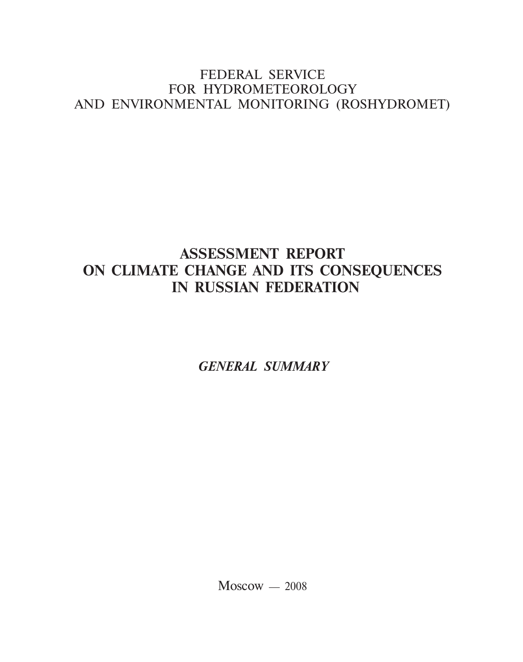# FEDERAL SERVICE FOR HYDROMETEOROLOGY AND ENVIRONMENTAL MONITORING (ROSHYDROMET)

# **ASSESSMENT REPORT ON CLIMATE CHANGE AND ITS CONSEQUENCES IN RUSSIAN FEDERATION**

*GENERAL SUMMARY*

 $M$ oscow  $-2008$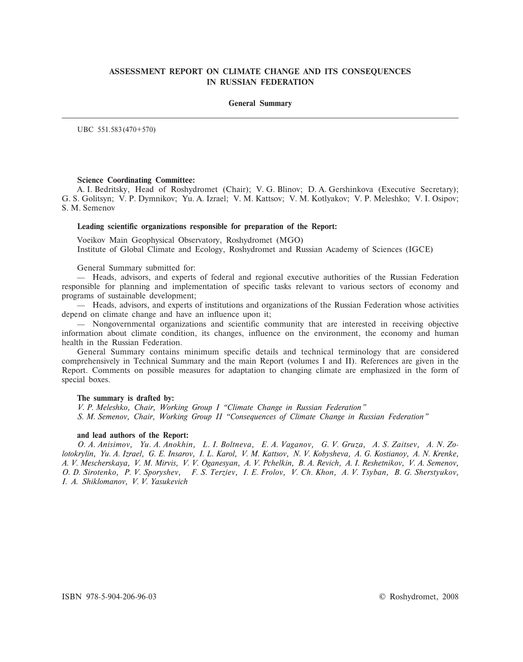## **ASSESSMENT REPORT ON CLIMATE CHANGE AND ITS CONSEQUENCES IN RUSSIAN FEDERATION**

#### **General Summary**

UBC 551.583 (470+570)

#### **Science Coordinating Committee:**

A. I. Bedritsky, Head of Roshydromet (Chair); V. G. Blinov; D. A. Gershinkova (Executive Secretary); G. S. Golitsyn; V. P. Dymnikov; Yu. A. Izrael; V. M. Kattsov; V. M. Kotlyakov; V. P. Meleshko; V. I. Osipov; S. M. Semenov

#### **Leading scientific organizations responsible for preparation of the Report:**

Voeikov Main Geophysical Observatory, Roshydromet (MGO) Institute of Global Climate and Ecology, Roshydromet and Russian Academy of Sciences (IGCE)

General Summary submitted for:

— Heads, advisors, and experts of federal and regional executive authorities of the Russian Federation responsible for planning and implementation of specific tasks relevant to various sectors of economy and programs of sustainable development;

— Heads, advisors, and experts of institutions and organizations of the Russian Federation whose activities depend on climate change and have an influence upon it;

— Nongovernmental organizations and scientific community that are interested in receiving objective information about climate condition, its changes, influence on the environment, the economy and human health in the Russian Federation.

General Summary contains minimum specific details and technical terminology that are considered comprehensively in Technical Summary and the main Report (volumes I and II). References are given in the Report. Comments on possible measures for adaptation to changing climate are emphasized in the form of special boxes.

#### **The summary is drafted by:**

*V. P. Meleshko, Chair, Working Group I "Climate Change in Russian Federation" S. M. Semenov, Chair, Working Group II "Consequences of Climate Change in Russian Federation"*

#### **and lead authors of the Report:**

*O. A. Anisimov, Yu. A. Anokhin, L. I. Boltneva, E. A. Vaganov, G. V. Gruza, A. S. Zaitsev, A. N. Zolotokrylin, Yu. A. Izrael, G. E. Insarov, I. L. Karol, V. M. Kattsov, N. V. Kobysheva, A. G. Kostianoy, A. N. Krenke, A. V. Mescherskaya, V. M. Mirvis, V. V. Oganesyan, A. V. Pchelkin, B. A. Revich, A. I. Reshetnikov, V. A. Semenov, O. D. Sirotenko, P. V. Sporyshev, F. S. Terziev, I. E. Frolov, V. Ch. Khon, A. V. Tsyban, B. G. Sherstyukov, I. A. Shiklomanov, V. V. Yasukevich*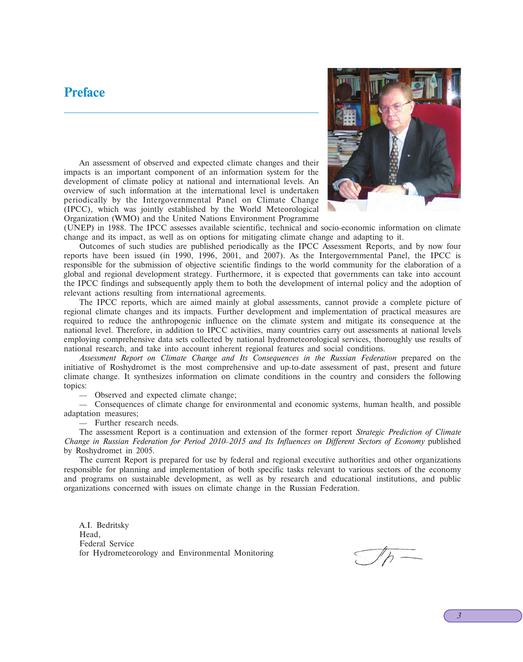# **Preface**



An assessment of observed and expected climate changes and their impacts is an important component of an information system for the development of climate policy at national and international levels. An overview of such information at the international level is undertaken periodically by the Intergovernmental Panel on Climate Change (IPCC), which was jointly established by the World Meteorological Organization (WMO) and the United Nations Environment Programme

(UNEP) in 1988. The IPCC assesses available scientific, technical and socio-economic information on climate change and its impact, as well as on options for mitigating climate change and adapting to it.

Outcomes of such studies are published periodically as the IPCC Assessment Reports, and by now four reports have been issued (in 1990, 1996, 2001, and 2007). As the Intergovernmental Panel, the IPCC is responsible for the submission of objective scientific findings to the world community for the elaboration of a global and regional development strategy. Furthermore, it is expected that governments can take into account the IPCC findings and subsequently apply them to both the development of internal policy and the adoption of relevant actions resulting from international agreements.

The IPCC reports, which are aimed mainly at global assessments, cannot provide a complete picture of regional climate changes and its impacts. Further development and implementation of practical measures are required to reduce the anthropogenic influence on the climate system and mitigate its consequence at the national level. Therefore, in addition to IPCC activities, many countries carry out assessments at national levels employing comprehensive data sets collected by national hydrometeorological services, thoroughly use results of national research, and take into account inherent regional features and social conditions.

*Assessment Report on Climate Change and Its Consequences in the Russian Federation* prepared on the initiative of Roshydromet is the most comprehensive and up-to-date assessment of past, present and future climate change. It synthesizes information on climate conditions in the country and considers the following topics:

— Observed and expected climate change;

— Consequences of climate change for environmental and economic systems, human health, and possible adaptation measures;

— Further research needs.

The assessment Report is a continuation and extension of the former report *Strategic Prediction of Climate Change in Russian Federation for Period 2010–2015 and Its Influences on Different Sectors of Economy* published by Roshydromet in 2005.

The current Report is prepared for use by federal and regional executive authorities and other organizations responsible for planning and implementation of both specific tasks relevant to various sectors of the economy and programs on sustainable development, as well as by research and educational institutions, and public organizations concerned with issues on climate change in the Russian Federation.

A.I. Bedritsky Head, Federal Service for Hydrometeorology and Environmental Monitoring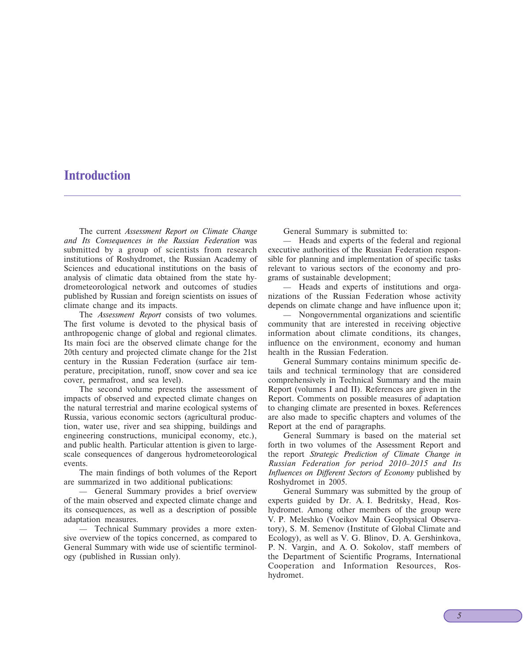# **Introduction**

The current *Assessment Report on Climate Change and Its Consequences in the Russian Federation* was submitted by a group of scientists from research institutions of Roshydromet, the Russian Academy of Sciences and educational institutions on the basis of analysis of climatic data obtained from the state hydrometeorological network and outcomes of studies published by Russian and foreign scientists on issues of climate change and its impacts.

The *Assessment Report* consists of two volumes. The first volume is devoted to the physical basis of anthropogenic change of global and regional climates. Its main foci are the observed climate change for the 20th century and projected climate change for the 21st century in the Russian Federation (surface air temperature, precipitation, runoff, snow cover and sea ice cover, permafrost, and sea level).

The second volume presents the assessment of impacts of observed and expected climate changes on the natural terrestrial and marine ecological systems of Russia, various economic sectors (agricultural production, water use, river and sea shipping, buildings and engineering constructions, municipal economy, etc.), and public health. Particular attention is given to largescale consequences of dangerous hydrometeorological events.

The main findings of both volumes of the Report are summarized in two additional publications:

— General Summary provides a brief overview of the main observed and expected climate change and its consequences, as well as a description of possible adaptation measures.

— Technical Summary provides a more extensive overview of the topics concerned, as compared to General Summary with wide use of scientific terminology (published in Russian only).

General Summary is submitted to:

— Heads and experts of the federal and regional executive authorities of the Russian Federation responsible for planning and implementation of specific tasks relevant to various sectors of the economy and programs of sustainable development;

— Heads and experts of institutions and organizations of the Russian Federation whose activity depends on climate change and have influence upon it;

— Nongovernmental organizations and scientific community that are interested in receiving objective information about climate conditions, its changes, influence on the environment, economy and human health in the Russian Federation.

General Summary contains minimum specific details and technical terminology that are considered comprehensively in Technical Summary and the main Report (volumes I and II). References are given in the Report. Comments on possible measures of adaptation to changing climate are presented in boxes. References are also made to specific chapters and volumes of the Report at the end of paragraphs.

General Summary is based on the material set forth in two volumes of the Assessment Report and the report *Strategic Prediction of Climate Change in Russian Federation for period 2010–2015 and Its Influences on Different Sectors of Economy* published by Roshydromet in 2005.

General Summary was submitted by the group of experts guided by Dr. A. I. Bedritsky, Head, Roshydromet. Among other members of the group were V. P. Meleshko (Voeikov Main Geophysical Observatory), S. M. Semenov (Institute of Global Climate and Ecology), as well as V. G. Blinov, D. A. Gershinkova, P. N. Vargin, and A. O. Sokolov, staff members of the Department of Scientific Programs, International Cooperation and Information Resources, Roshydromet.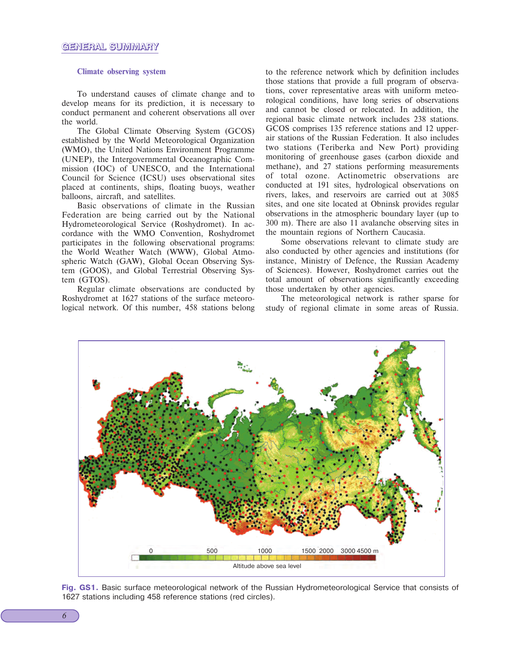#### **Climate observing system**

To understand causes of climate change and to develop means for its prediction, it is necessary to conduct permanent and coherent observations all over the world.

The Global Climate Observing System (GCOS) established by the World Meteorological Organization (WMO), the United Nations Environment Programme (UNEP), the Intergovernmental Oceanographic Commission (IOC) of UNESCO, and the International Council for Science (ICSU) uses observational sites placed at continents, ships, floating buoys, weather balloons, aircraft, and satellites.

Basic observations of climate in the Russian Federation are being carried out by the National Hydrometeorological Service (Roshydromet). In accordance with the WMO Convention, Roshydromet participates in the following observational programs: the World Weather Watch (WWW), Global Atmospheric Watch (GAW), Global Ocean Observing System (GOOS), and Global Terrestrial Observing System (GTOS).

Regular climate observations are conducted by Roshydromet at 1627 stations of the surface meteorological network. Of this number, 458 stations belong to the reference network which by definition includes those stations that provide a full program of observations, cover representative areas with uniform meteorological conditions, have long series of observations and cannot be closed or relocated. In addition, the regional basic climate network includes 238 stations. GCOS comprises 135 reference stations and 12 upperair stations of the Russian Federation. It also includes two stations (Teriberka and New Port) providing monitoring of greenhouse gases (carbon dioxide and methane), and 27 stations performing measurements of total ozone. Actinometric observations are conducted at 191 sites, hydrological observations on rivers, lakes, and reservoirs are carried out at 3085 sites, and one site located at Obninsk provides regular observations in the atmospheric boundary layer (up to 300 m). There are also 11 avalanche observing sites in the mountain regions of Northern Caucasia.

Some observations relevant to climate study are also conducted by other agencies and institutions (for instance, Ministry of Defence, the Russian Academy of Sciences). However, Roshydromet carries out the total amount of observations significantly exceeding those undertaken by other agencies.

The meteorological network is rather sparse for study of regional climate in some areas of Russia.



**Fig. GS1.** Basic surface meteorological network of the Russian Hydrometeorological Service that consists of 1627 stations including 458 reference stations (red circles).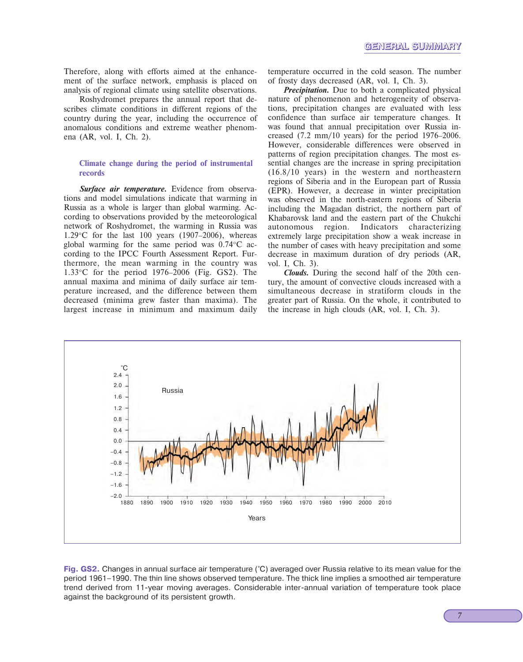Therefore, along with efforts aimed at the enhancement of the surface network, emphasis is placed on analysis of regional climate using satellite observations.

Roshydromet prepares the annual report that describes climate conditions in different regions of the country during the year, including the occurrence of anomalous conditions and extreme weather phenomena (AR, vol. I, Ch. 2).

#### **Climate change during the period of instrumental records**

*Surface air temperature.* Evidence from observations and model simulations indicate that warming in Russia as a whole is larger than global warming. According to observations provided by the meteorological network of Roshydromet, the warming in Russia was 1.29 $\degree$ C for the last 100 years (1907–2006), whereas global warming for the same period was 0.74°C according to the IPCC Fourth Assessment Report. Furthermore, the mean warming in the country was 1.33°C for the period 1976–2006 (Fig. GS2). The annual maxima and minima of daily surface air temperature increased, and the difference between them decreased (minima grew faster than maxima). The largest increase in minimum and maximum daily temperature occurred in the cold season. The number of frosty days decreased (AR, vol. I, Ch. 3).

*Precipitation.* Due to both a complicated physical nature of phenomenon and heterogeneity of observations, precipitation changes are evaluated with less confidence than surface air temperature changes. It was found that annual precipitation over Russia increased (7.2 mm/10 years) for the period 1976–2006. However, considerable differences were observed in patterns of region precipitation changes. The most essential changes are the increase in spring precipitation (16.8/10 years) in the western and northeastern regions of Siberia and in the European part of Russia (EPR). However, a decrease in winter precipitation was observed in the north-eastern regions of Siberia including the Magadan district, the northern part of Khabarovsk land and the eastern part of the Chukchi autonomous region. Indicators characterizing extremely large precipitation show a weak increase in the number of cases with heavy precipitation and some decrease in maximum duration of dry periods (AR, vol. I, Ch. 3).

*Clouds.* During the second half of the 20th century, the amount of convective clouds increased with a simultaneous decrease in stratiform clouds in the greater part of Russia. On the whole, it contributed to the increase in high clouds (AR, vol. I, Ch. 3).



**Fig. GS2.** Changes in annual surface air temperature (°C) averaged over Russia relative to its mean value for the period 1961–1990. The thin line shows observed temperature. The thick line implies a smoothed air temperature trend derived from 11-year moving averages. Considerable inter-annual variation of temperature took place against the background of its persistent growth.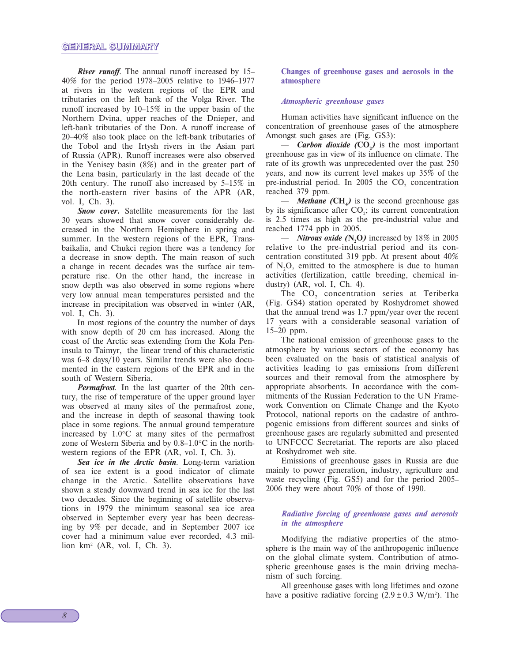*River runoff*. The annual runoff increased by 15– 40% for the period 1978–2005 relative to 1946–1977 at rivers in the western regions of the EPR and tributaries on the left bank of the Volga River. The runoff increased by 10–15% in the upper basin of the Northern Dvina, upper reaches of the Dnieper, and left-bank tributaries of the Don. A runoff increase of 20–40% also took place on the left-bank tributaries of the Tobol and the Irtysh rivers in the Asian part of Russia (APR). Runoff increases were also observed in the Yenisey basin (8%) and in the greater part of the Lena basin, particularly in the last decade of the 20th century. The runoff also increased by 5–15% in the north-eastern river basins of the APR (AR, vol. I, Ch. 3).

*Snow cover.* Satellite measurements for the last 30 years showed that snow cover considerably decreased in the Northern Hemisphere in spring and summer. In the western regions of the EPR, Transbaikalia, and Chukci region there was a tendency for a decrease in snow depth. The main reason of such a change in recent decades was the surface air temperature rise. On the other hand, the increase in snow depth was also observed in some regions where very low annual mean temperatures persisted and the increase in precipitation was observed in winter (AR, vol. I, Ch. 3).

In most regions of the country the number of days with snow depth of 20 cm has increased. Along the coast of the Arctic seas extending from the Kola Peninsula to Taimyr, the linear trend of this characteristic was 6–8 days/10 years. Similar trends were also documented in the eastern regions of the EPR and in the south of Western Siberia.

*Permafrost*. In the last quarter of the 20th century, the rise of temperature of the upper ground layer was observed at many sites of the permafrost zone, and the increase in depth of seasonal thawing took place in some regions. The annual ground temperature increased by 1.0°C at many sites of the permafrost zone of Western Siberia and by 0.8–1.0°C in the northwestern regions of the EPR (AR, vol. I, Ch. 3).

*Sea ice in the Arctic basin*. Long-term variation of sea ice extent is a good indicator of climate change in the Arctic. Satellite observations have shown a steady downward trend in sea ice for the last two decades. Since the beginning of satellite observations in 1979 the minimum seasonal sea ice area observed in September every year has been decreasing by 9% per decade, and in September 2007 ice cover had a minimum value ever recorded, 4.3 million km2 (AR, vol. I, Ch. 3).

**Changes of greenhouse gases and aerosols in the atmosphere**

#### *Atmospheric greenhouse gases*

Human activities have significant influence on the concentration of greenhouse gases of the atmosphere Amongst such gases are (Fig. GS3):

— *Carbon dioxide* (CO<sub>2</sub>) is the most important greenhouse gas in view of its influence on climate. The rate of its growth was unprecedented over the past 250 years, and now its current level makes up 35% of the pre-industrial period. In 2005 the  $CO<sub>2</sub>$  concentration reached 379 ppm.

 $-$  *Methane* (CH<sub>4</sub>) is the second greenhouse gas by its significance after  $CO<sub>2</sub>$ ; its current concentration is 2.5 times as high as the pre-industrial value and reached 1774 ppb in 2005.

— *Nitrous oxide (***N2O***)* increased by 18% in 2005 relative to the pre-industrial period and its concentration constituted 319 ppb. At present about 40% of  $N_2O$ , emitted to the atmosphere is due to human activities (fertilization, cattle breeding, chemical industry) (AR, vol. I, Ch. 4).

The CO<sub>2</sub> concentration series at Teriberka (Fig. GS4) station operated by Roshydromet showed that the annual trend was 1.7 ppm/year over the recent 17 years with a considerable seasonal variation of 15–20 ppm.

The national emission of greenhouse gases to the atmosphere by various sectors of the economy has been evaluated on the basis of statistical analysis of activities leading to gas emissions from different sources and their removal from the atmosphere by appropriate absorbents. In accordance with the commitments of the Russian Federation to the UN Framework Convention on Climate Change and the Kyoto Protocol, national reports on the cadastre of anthropogenic emissions from different sources and sinks of greenhouse gases are regularly submitted and presented to UNFCCC Secretariat. The reports are also placed at Roshydromet web site.

Emissions of greenhouse gases in Russia are due mainly to power generation, industry, agriculture and waste recycling (Fig. GS5) and for the period 2005– 2006 they were about 70% of those of 1990.

#### *Radiative forcing of greenhouse gases and aerosols in the atmosphere*

Modifying the radiative properties of the atmosphere is the main way of the anthropogenic influence on the global climate system. Contribution of atmospheric greenhouse gases is the main driving mechanism of such forcing.

All greenhouse gases with long lifetimes and ozone have a positive radiative forcing  $(2.9 \pm 0.3 \text{ W/m}^2)$ . The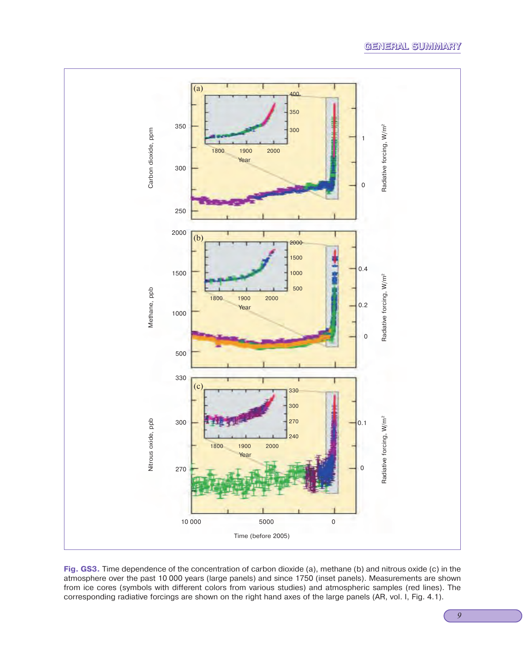# **GENERAL SUMMARY**



**Fig. GS3.** Time dependence of the concentration of carbon dioxide (a), methane (b) and nitrous oxide (c) in the atmosphere over the past 10 000 years (large panels) and since 1750 (inset panels). Measurements are shown from ice cores (symbols with different colors from various studies) and atmospheric samples (red lines). The corresponding radiative forcings are shown on the right hand axes of the large panels (AR, vol. I, Fig. 4.1).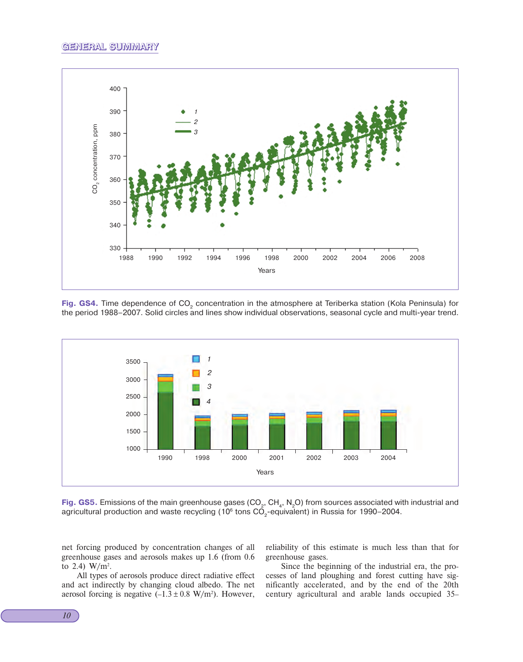

Fig. GS4. Time dependence of CO<sub>2</sub> concentration in the atmosphere at Teriberka station (Kola Peninsula) for the period 1988–2007. Solid circles and lines show individual observations, seasonal cycle and multi-year trend.



**Fig. GS5.** Emissions of the main greenhouse gases (CO<sub>2</sub>, CH<sub>4</sub>, N<sub>2</sub>O) from sources associated with industrial and agricultural production and waste recycling (10<sup>6</sup> tons CO<sub>2</sub>-equivalent) in Russia for 1990–2004.

net forcing produced by concentration changes of all greenhouse gases and aerosols makes up 1.6 (from 0.6 to 2.4)  $W/m^2$ .

All types of aerosols produce direct radiative effect and act indirectly by changing cloud albedo. The net aerosol forcing is negative  $(-1.3 \pm 0.8 \text{ W/m}^2)$ . However,

reliability of this estimate is much less than that for greenhouse gases.

Since the beginning of the industrial era, the processes of land ploughing and forest cutting have significantly accelerated, and by the end of the 20th century agricultural and arable lands occupied 35–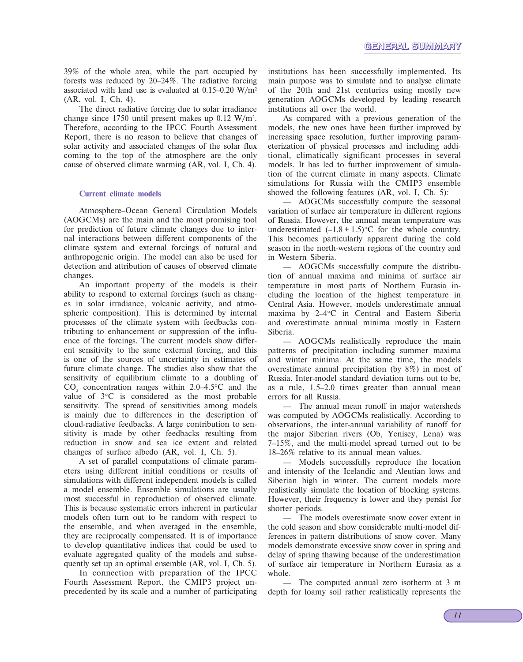39% of the whole area, while the part occupied by forests was reduced by 20–24%. The radiative forcing associated with land use is evaluated at  $0.15-0.20$  W/m<sup>2</sup> (AR, vol. I, Ch. 4).

The direct radiative forcing due to solar irradiance change since 1750 until present makes up 0.12 W/m2. Therefore, according to the IPCC Fourth Assessment Report, there is no reason to believe that changes of solar activity and associated changes of the solar flux coming to the top of the atmosphere are the only cause of observed climate warming (AR, vol. I, Ch. 4).

#### **Current climate models**

Atmosphere–Ocean General Circulation Models (AOGCMs) are the main and the most promising tool for prediction of future climate changes due to internal interactions between different components of the climate system and external forcings of natural and anthropogenic origin. The model can also be used for detection and attribution of causes of observed climate changes.

An important property of the models is their ability to respond to external forcings (such as changes in solar irradiance, volcanic activity, and atmospheric composition). This is determined by internal processes of the climate system with feedbacks contributing to enhancement or suppression of the influence of the forcings. The current models show different sensitivity to the same external forcing, and this is one of the sources of uncertainty in estimates of future climate change. The studies also show that the sensitivity of equilibrium climate to a doubling of  $CO<sub>2</sub>$  concentration ranges within 2.0–4.5 $\degree$ C and the value of 3°C is considered as the most probable sensitivity. The spread of sensitivities among models is mainly due to differences in the description of cloud-radiative feedbacks. A large contribution to sensitivity is made by other feedbacks resulting from reduction in snow and sea ice extent and related changes of surface albedo (AR, vol. I, Ch. 5).

A set of parallel computations of climate parameters using different initial conditions or results of simulations with different independent models is called a model ensemble. Ensemble simulations are usually most successful in reproduction of observed climate. This is because systematic errors inherent in particular models often turn out to be random with respect to the ensemble, and when averaged in the ensemble, they are reciprocally compensated. It is of importance to develop quantitative indices that could be used to evaluate aggregated quality of the models and subsequently set up an optimal ensemble (AR, vol. I, Ch. 5).

In connection with preparation of the IPCC Fourth Assessment Report, the CMIP3 project unprecedented by its scale and a number of participating

institutions has been successfully implemented. Its main purpose was to simulate and to analyse climate of the 20th and 21st centuries using mostly new generation AOGCMs developed by leading research institutions all over the world.

As compared with a previous generation of the models, the new ones have been further improved by increasing space resolution, further improving parameterization of physical processes and including additional, climatically significant processes in several models. It has led to further improvement of simulation of the current climate in many aspects. Climate simulations for Russia with the CMIP3 ensemble showed the following features (AR, vol. I, Ch. 5):

— AOGCMs successfully compute the seasonal variation of surface air temperature in different regions of Russia. However, the annual mean temperature was underestimated  $(-1.8 \pm 1.5)$ °C for the whole country. This becomes particularly apparent during the cold season in the north-western regions of the country and in Western Siberia.

— AOGCMs successfully compute the distribution of annual maxima and minima of surface air temperature in most parts of Northern Eurasia including the location of the highest temperature in Central Asia. However, models underestimate annual maxima by 2–4°C in Central and Eastern Siberia and overestimate annual minima mostly in Eastern Siberia.

— AOGCMs realistically reproduce the main patterns of precipitation including summer maxima and winter minima. At the same time, the models overestimate annual precipitation (by 8%) in most of Russia. Inter-model standard deviation turns out to be, as a rule, 1.5–2.0 times greater than annual mean errors for all Russia.

— The annual mean runoff in major watersheds was computed by AOGCMs realistically. According to observations, the inter-annual variability of runoff for the major Siberian rivers (Ob, Yenisey, Lena) was 7–15%, and the multi-model spread turned out to be 18–26% relative to its annual mean values.

— Models successfully reproduce the location and intensity of the Icelandic and Aleutian lows and Siberian high in winter. The current models more realistically simulate the location of blocking systems. However, their frequency is lower and they persist for shorter periods.

The models overestimate snow cover extent in the cold season and show considerable multi-model differences in pattern distributions of snow cover. Many models demonstrate excessive snow cover in spring and delay of spring thawing because of the underestimation of surface air temperature in Northern Eurasia as a whole.

The computed annual zero isotherm at 3 m depth for loamy soil rather realistically represents the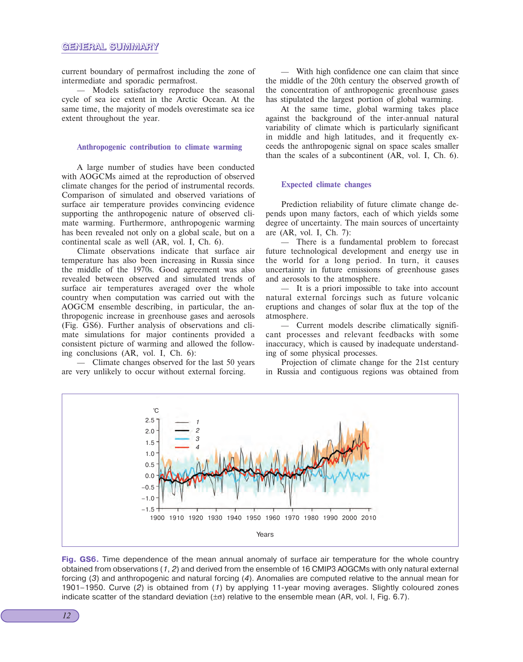current boundary of permafrost including the zone of intermediate and sporadic permafrost.

— Models satisfactory reproduce the seasonal cycle of sea ice extent in the Arctic Ocean. At the same time, the majority of models overestimate sea ice extent throughout the year.

#### **Anthropogenic contribution to climate warming**

A large number of studies have been conducted with AOGCMs aimed at the reproduction of observed climate changes for the period of instrumental records. Comparison of simulated and observed variations of surface air temperature provides convincing evidence supporting the anthropogenic nature of observed climate warming. Furthermore, anthropogenic warming has been revealed not only on a global scale, but on a continental scale as well (AR, vol. I, Ch. 6).

Climate observations indicate that surface air temperature has also been increasing in Russia since the middle of the 1970s. Good agreement was also revealed between observed and simulated trends of surface air temperatures averaged over the whole country when computation was carried out with the AOGCM ensemble describing, in particular, the anthropogenic increase in greenhouse gases and aerosols (Fig. GS6). Further analysis of observations and climate simulations for major continents provided a consistent picture of warming and allowed the following conclusions (AR, vol. I, Ch. 6):

— Climate changes observed for the last 50 years are very unlikely to occur without external forcing.

— With high confidence one can claim that since the middle of the 20th century the observed growth of the concentration of anthropogenic greenhouse gases has stipulated the largest portion of global warming.

At the same time, global warming takes place against the background of the inter-annual natural variability of climate which is particularly significant in middle and high latitudes, and it frequently exceeds the anthropogenic signal on space scales smaller than the scales of a subcontinent (AR, vol. I, Ch. 6).

#### **Expected climate changes**

Prediction reliability of future climate change depends upon many factors, each of which yields some degree of uncertainty. The main sources of uncertainty are (AR, vol. I, Ch. 7):

— There is a fundamental problem to forecast future technological development and energy use in the world for a long period. In turn, it causes uncertainty in future emissions of greenhouse gases and aerosols to the atmosphere.

— It is a priori impossible to take into account natural external forcings such as future volcanic eruptions and changes of solar flux at the top of the atmosphere.

— Current models describe climatically significant processes and relevant feedbacks with some inaccuracy, which is caused by inadequate understanding of some physical processes.

Projection of climate change for the 21st century in Russia and contiguous regions was obtained from



**Fig. GS6.** Time dependence of the mean annual anomaly of surface air temperature for the whole country obtained from observations (1, 2) and derived from the ensemble of 16 CMIP3 AOGCMs with only natural external forcing (3) and anthropogenic and natural forcing (4). Anomalies are computed relative to the annual mean for 1901–1950. Curve (2) is obtained from (1) by applying 11-year moving averages. Slightly coloured zones indicate scatter of the standard deviation  $(\pm \sigma)$  relative to the ensemble mean (AR, vol. I, Fig. 6.7).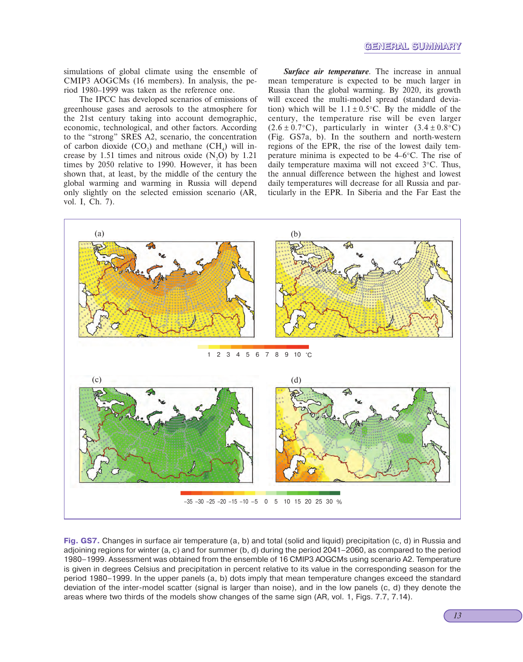simulations of global climate using the ensemble of CMIP3 AOGCMs (16 members). In analysis, the period 1980–1999 was taken as the reference one.

The IPCC has developed scenarios of emissions of greenhouse gases and aerosols to the atmosphere for the 21st century taking into account demographic, economic, technological, and other factors. According to the "strong" SRES A2, scenario, the concentration of carbon dioxide  $(CO_2)$  and methane  $(CH_4)$  will increase by 1.51 times and nitrous oxide  $(N,0)$  by 1.21 times by 2050 relative to 1990. However, it has been shown that, at least, by the middle of the century the global warming and warming in Russia will depend only slightly on the selected emission scenario (AR, vol. I, Ch. 7).

*Surface air temperature*. The increase in annual mean temperature is expected to be much larger in Russia than the global warming. By 2020, its growth will exceed the multi-model spread (standard deviation) which will be  $1.1 \pm 0.5$ °C. By the middle of the century, the temperature rise will be even larger  $(2.6 \pm 0.7$ °C), particularly in winter  $(3.4 \pm 0.8$ °C) (Fig. GS7a, b). In the southern and north-western regions of the EPR, the rise of the lowest daily temperature minima is expected to be 4–6°C. The rise of daily temperature maxima will not exceed 3°C. Thus, the annual difference between the highest and lowest daily temperatures will decrease for all Russia and particularly in the EPR. In Siberia and the Far East the



**Fig. GS7.** Changes in surface air temperature (a, b) and total (solid and liquid) precipitation (c, d) in Russia and adjoining regions for winter (a, c) and for summer (b, d) during the period 2041–2060, as compared to the period 1980–1999. Assessment was obtained from the ensemble of 16 CMIP3 AOGCMs using scenario A2. Temperature is given in degrees Celsius and precipitation in percent relative to its value in the corresponding season for the period 1980–1999. In the upper panels (a, b) dots imply that mean temperature changes exceed the standard deviation of the inter-model scatter (signal is larger than noise), and in the low panels (c, d) they denote the areas where two thirds of the models show changes of the same sign (AR, vol. 1, Figs. 7.7, 7.14).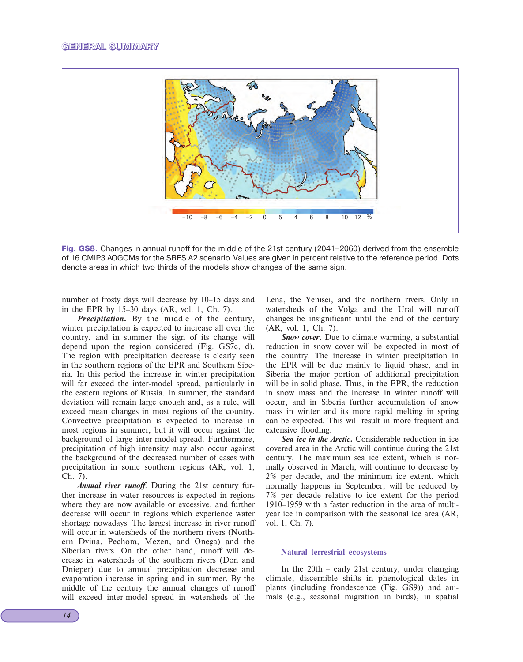

**Fig. GS8.** Changes in annual runoff for the middle of the 21st century (2041–2060) derived from the ensemble of 16 CMIP3 AOGCMs for the SRES A2 scenario. Values are given in percent relative to the reference period. Dots denote areas in which two thirds of the models show changes of the same sign.

number of frosty days will decrease by 10–15 days and in the EPR by 15–30 days (AR, vol. 1, Ch. 7).

*Precipitation***.** By the middle of the century, winter precipitation is expected to increase all over the country, and in summer the sign of its change will depend upon the region considered (Fig. GS7c, d). The region with precipitation decrease is clearly seen in the southern regions of the EPR and Southern Siberia. In this period the increase in winter precipitation will far exceed the inter-model spread, particularly in the eastern regions of Russia. In summer, the standard deviation will remain large enough and, as a rule, will exceed mean changes in most regions of the country. Convective precipitation is expected to increase in most regions in summer, but it will occur against the background of large inter-model spread. Furthermore, precipitation of high intensity may also occur against the background of the decreased number of cases with precipitation in some southern regions (AR, vol. 1, Ch. 7).

*Annual river runoff*. During the 21st century further increase in water resources is expected in regions where they are now available or excessive, and further decrease will occur in regions which experience water shortage nowadays. The largest increase in river runoff will occur in watersheds of the northern rivers (Northern Dvina, Pechora, Mezen, and Onega) and the Siberian rivers. On the other hand, runoff will decrease in watersheds of the southern rivers (Don and Dnieper) due to annual precipitation decrease and evaporation increase in spring and in summer. By the middle of the century the annual changes of runoff will exceed inter-model spread in watersheds of the Lena, the Yenisei, and the northern rivers. Only in watersheds of the Volga and the Ural will runoff changes be insignificant until the end of the century (AR, vol. 1, Ch. 7).

*Snow cover.* Due to climate warming, a substantial reduction in snow cover will be expected in most of the country. The increase in winter precipitation in the EPR will be due mainly to liquid phase, and in Siberia the major portion of additional precipitation will be in solid phase. Thus, in the EPR, the reduction in snow mass and the increase in winter runoff will occur, and in Siberia further accumulation of snow mass in winter and its more rapid melting in spring can be expected. This will result in more frequent and extensive flooding.

*Sea ice in the Arctic***.** Considerable reduction in ice covered area in the Arctic will continue during the 21st century. The maximum sea ice extent, which is normally observed in March, will continue to decrease by 2% per decade, and the minimum ice extent, which normally happens in September, will be reduced by 7% per decade relative to ice extent for the period 1910–1959 with a faster reduction in the area of multiyear ice in comparison with the seasonal ice area (AR, vol. 1, Ch. 7).

#### **Natural terrestrial ecosystems**

In the 20th – early 21st century, under changing climate, discernible shifts in phenological dates in plants (including frondescence (Fig. GS9)) and animals (e.g., seasonal migration in birds), in spatial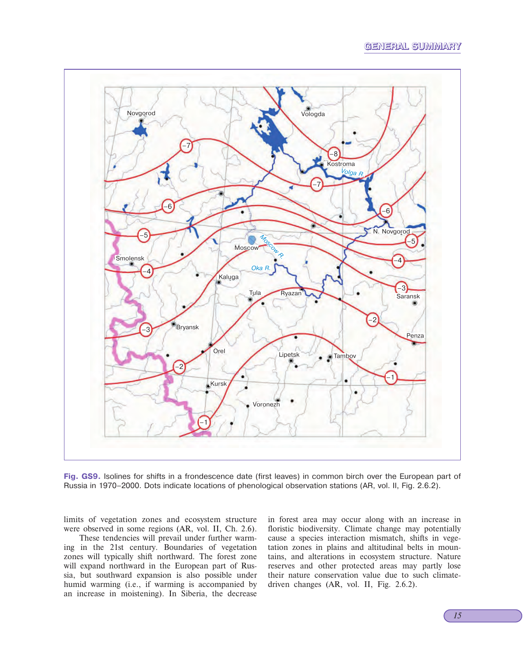### **GENERAL SUMMARY**



**Fig. GS9.** Isolines for shifts in a frondescence date (first leaves) in common birch over the European part of Russia in 1970–2000. Dots indicate locations of phenological observation stations (AR, vol. II, Fig. 2.6.2).

limits of vegetation zones and ecosystem structure were observed in some regions (AR, vol. II, Ch. 2.6).

These tendencies will prevail under further warming in the 21st century. Boundaries of vegetation zones will typically shift northward. The forest zone will expand northward in the European part of Russia, but southward expansion is also possible under humid warming (i.e., if warming is accompanied by an increase in moistening). In Siberia, the decrease

in forest area may occur along with an increase in floristic biodiversity. Climate change may potentially cause a species interaction mismatch, shifts in vegetation zones in plains and altitudinal belts in mountains, and alterations in ecosystem structure. Nature reserves and other protected areas may partly lose their nature conservation value due to such climatedriven changes (AR, vol. II, Fig. 2.6.2).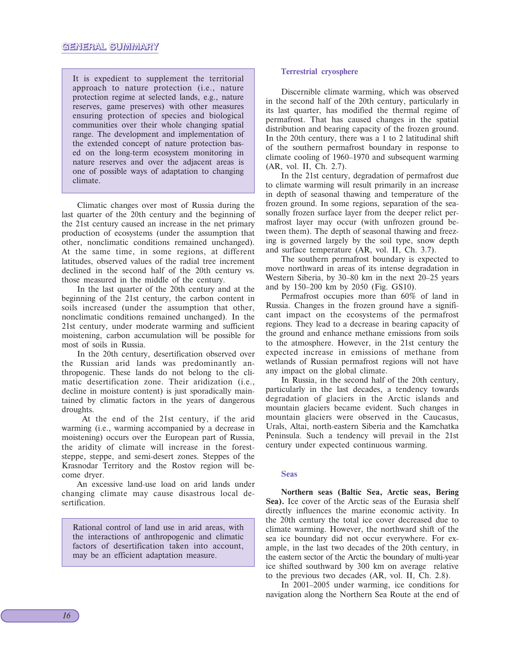It is expedient to supplement the territorial approach to nature protection (i.e., nature protection regime at selected lands, e.g., nature reserves, game preserves) with other measures ensuring protection of species and biological communities over their whole changing spatial range. The development and implementation of the extended concept of nature protection based on the long-term ecosystem monitoring in nature reserves and over the adjacent areas is one of possible ways of adaptation to changing climate.

Climatic changes over most of Russia during the last quarter of the 20th century and the beginning of the 21st century caused an increase in the net primary production of ecosystems (under the assumption that other, nonclimatic conditions remained unchanged). At the same time, in some regions, at different latitudes, observed values of the radial tree increment declined in the second half of the 20th century vs. those measured in the middle of the century.

In the last quarter of the 20th century and at the beginning of the 21st century, the carbon content in soils increased (under the assumption that other, nonclimatic conditions remained unchanged). In the 21st century, under moderate warming and sufficient moistening, carbon accumulation will be possible for most of soils in Russia.

In the 20th century, desertification observed over the Russian arid lands was predominantly anthropogenic. These lands do not belong to the climatic desertification zone. Their aridization (i.e., decline in moisture content) is just sporadically maintained by climatic factors in the years of dangerous droughts.

 At the end of the 21st century, if the arid warming (i.e., warming accompanied by a decrease in moistening) occurs over the European part of Russia, the aridity of climate will increase in the foreststeppe, steppe, and semi-desert zones. Steppes of the Krasnodar Territory and the Rostov region will become dryer.

An excessive land-use load on arid lands under changing climate may cause disastrous local desertification.

Rational control of land use in arid areas, with the interactions of anthropogenic and climatic factors of desertification taken into account, may be an efficient adaptation measure.

#### **Terrestrial cryosphere**

Discernible climate warming, which was observed in the second half of the 20th century, particularly in its last quarter, has modified the thermal regime of permafrost. That has caused changes in the spatial distribution and bearing capacity of the frozen ground. In the 20th century, there was a 1 to 2 latitudinal shift of the southern permafrost boundary in response to climate cooling of 1960–1970 and subsequent warming (AR, vol. II, Ch. 2.7).

In the 21st century, degradation of permafrost due to climate warming will result primarily in an increase in depth of seasonal thawing and temperature of the frozen ground. In some regions, separation of the seasonally frozen surface layer from the deeper relict permafrost layer may occur (with unfrozen ground between them). The depth of seasonal thawing and freezing is governed largely by the soil type, snow depth and surface temperature (AR, vol. II, Ch. 3.7).

The southern permafrost boundary is expected to move northward in areas of its intense degradation in Western Siberia, by 30–80 km in the next 20–25 years and by 150–200 km by 2050 (Fig. GS10).

Permafrost occupies more than 60% of land in Russia. Changes in the frozen ground have a significant impact on the ecosystems of the permafrost regions. They lead to a decrease in bearing capacity of the ground and enhance methane emissions from soils to the atmosphere. However, in the 21st century the expected increase in emissions of methane from wetlands of Russian permafrost regions will not have any impact on the global climate.

In Russia, in the second half of the 20th century, particularly in the last decades, a tendency towards degradation of glaciers in the Arctic islands and mountain glaciers became evident. Such changes in mountain glaciers were observed in the Caucasus, Urals, Altai, north-eastern Siberia and the Kamchatka Peninsula. Such a tendency will prevail in the 21st century under expected continuous warming.

#### **Seas**

**Northern seas (Baltic Sea, Arctic seas, Bering Sea).** Ice cover of the Arctic seas of the Eurasia shelf directly influences the marine economic activity. In the 20th century the total ice cover decreased due to climate warming. However, the northward shift of the sea ice boundary did not occur everywhere. For example, in the last two decades of the 20th century, in the eastern sector of the Arctic the boundary of multi-year ice shifted southward by 300 km on average relative to the previous two decades (AR, vol. II, Ch. 2.8).

In 2001–2005 under warming, ice conditions for navigation along the Northern Sea Route at the end of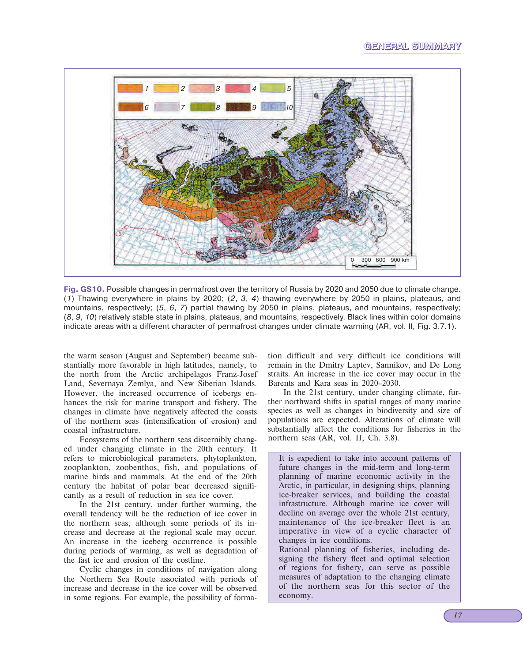# **GENERAL SUMMARY**



**Fig. GS10.** Possible changes in permafrost over the territory of Russia by 2020 and 2050 due to climate change. (1) Thawing everywhere in plains by 2020; (2, 3, 4) thawing everywhere by 2050 in plains, plateaus, and mountains, respectively; (5, 6, 7) partial thawing by 2050 in plains, plateaus, and mountains, respectively; (8, 9, 10) relatively stable state in plains, plateaus, and mountains, respectively. Black lines within color domains indicate areas with a different character of permafrost changes under climate warming (AR, vol. II, Fig. 3.7.1).

the warm season (August and September) became substantially more favorable in high latitudes, namely, to the north from the Arctic archipelagos Franz-Josef Land, Severnaya Zemlya, and New Siberian Islands. However, the increased occurrence of icebergs enhances the risk for marine transport and fishery. The changes in climate have negatively affected the coasts of the northern seas (intensification of erosion) and coastal infrastructure.

Ecosystems of the northern seas discernibly changed under changing climate in the 20th century. It refers to microbiological parameters, phytoplankton, zooplankton, zoobenthos, fish, and populations of marine birds and mammals. At the end of the 20th century the habitat of polar bear decreased significantly as a result of reduction in sea ice cover.

In the 21st century, under further warming, the overall tendency will be the reduction of ice cover in the northern seas, although some periods of its increase and decrease at the regional scale may occur. An increase in the iceberg occurrence is possible during periods of warming, as well as degradation of the fast ice and erosion of the costline.

Cyclic changes in conditions of navigation along the Northern Sea Route associated with periods of increase and decrease in the ice cover will be observed in some regions. For example, the possibility of formation difficult and very difficult ice conditions will remain in the Dmitry Laptev, Sannikov, and De Long straits. An increase in the ice cover may occur in the Barents and Kara seas in 2020–2030.

In the 21st century, under changing climate, further northward shifts in spatial ranges of many marine species as well as changes in biodiversity and size of populations are expected. Alterations of climate will substantially affect the conditions for fisheries in the northern seas (AR, vol. II, Ch. 3.8).

It is expedient to take into account patterns of future changes in the mid-term and long-term planning of marine economic activity in the Arctic, in particular, in designing ships, planning ice-breaker services, and building the coastal infrastructure. Although marine ice cover will decline on average over the whole 21st century, maintenance of the ice-breaker fleet is an imperative in view of a cyclic character of changes in ice conditions. Rational planning of fisheries, including de-

signing the fishery fleet and optimal selection of regions for fishery, can serve as possible measures of adaptation to the changing climate of the northern seas for this sector of the economy.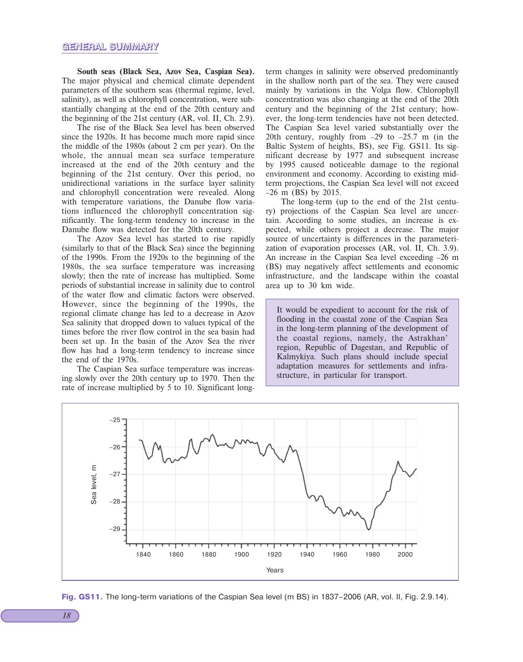**South seas (Black Sea, Azov Sea, Caspian Sea).** The major physical and chemical climate dependent parameters of the southern seas (thermal regime, level, salinity), as well as chlorophyll concentration, were substantially changing at the end of the 20th century and the beginning of the 21st century (AR, vol. II, Ch. 2.9).

The rise of the Black Sea level has been observed since the 1920s. It has become much more rapid since the middle of the 1980s (about 2 cm per year). On the whole, the annual mean sea surface temperature increased at the end of the 20th century and the beginning of the 21st century. Over this period, no unidirectional variations in the surface layer salinity and chlorophyll concentration were revealed. Along with temperature variations, the Danube flow variations influenced the chlorophyll concentration significantly. The long-term tendency to increase in the Danube flow was detected for the 20th century.

The Azov Sea level has started to rise rapidly (similarly to that of the Black Sea) since the beginning of the 1990s. From the 1920s to the beginning of the 1980s, the sea surface temperature was increasing slowly; then the rate of increase has multiplied. Some periods of substantial increase in salinity due to control of the water flow and climatic factors were observed. However, since the beginning of the 1990s, the regional climate change has led to a decrease in Azov Sea salinity that dropped down to values typical of the times before the river flow control in the sea basin had been set up. In the basin of the Azov Sea the river flow has had a long-term tendency to increase since the end of the 1970s.

The Caspian Sea surface temperature was increasing slowly over the 20th century up to 1970. Then the rate of increase multiplied by 5 to 10. Significant longterm changes in salinity were observed predominantly in the shallow north part of the sea. They were caused mainly by variations in the Volga flow. Chlorophyll concentration was also changing at the end of the 20th century and the beginning of the 21st century; however, the long-term tendencies have not been detected. The Caspian Sea level varied substantially over the 20th century, roughly from –29 to –25.7 m (in the Baltic System of heights, BS), see Fig. GS11. Its significant decrease by 1977 and subsequent increase by 1995 caused noticeable damage to the regional environment and economy. According to existing midterm projections, the Caspian Sea level will not exceed –26 m (BS) by 2015.

The long-term (up to the end of the 21st century) projections of the Caspian Sea level are uncertain. According to some studies, an increase is expected, while others project a decrease. The major source of uncertainty is differences in the parameterization of evaporation processes (AR, vol. II, Ch. 3.9). An increase in the Caspian Sea level exceeding –26 m (BS) may negatively affect settlements and economic infrastructure, and the landscape within the coastal area up to 30 km wide.

It would be expedient to account for the risk of flooding in the coastal zone of the Caspian Sea in the long-term planning of the development of the coastal regions, namely, the Astrakhan' region, Republic of Dagestan, and Republic of Kalmykiya. Such plans should include special adaptation measures for settlements and infrastructure, in particular for transport.



Fig. GS11. The long-term variations of the Caspian Sea level (m BS) in 1837–2006 (AR, vol. II, Fig. 2.9.14).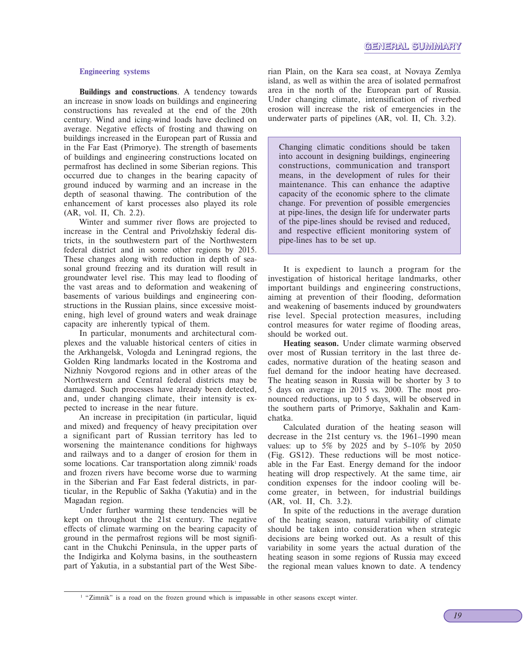#### **Engineering systems**

**Buildings and constructions**. A tendency towards an increase in snow loads on buildings and engineering constructions has revealed at the end of the 20th century. Wind and icing-wind loads have declined on average. Negative effects of frosting and thawing on buildings increased in the European part of Russia and in the Far East (Primorye). The strength of basements of buildings and engineering constructions located on permafrost has declined in some Siberian regions. This occurred due to changes in the bearing capacity of ground induced by warming and an increase in the depth of seasonal thawing. The contribution of the enhancement of karst processes also played its role (AR, vol. II, Ch. 2.2).

Winter and summer river flows are projected to increase in the Central and Privolzhskiy federal districts, in the southwestern part of the Northwestern federal district and in some other regions by 2015. These changes along with reduction in depth of seasonal ground freezing and its duration will result in groundwater level rise. This may lead to flooding of the vast areas and to deformation and weakening of basements of various buildings and engineering constructions in the Russian plains, since excessive moistening, high level of ground waters and weak drainage capacity are inherently typical of them.

In particular, monuments and architectural complexes and the valuable historical centers of cities in the Arkhangelsk, Vologda and Leningrad regions, the Golden Ring landmarks located in the Kostroma and Nizhniy Novgorod regions and in other areas of the Northwestern and Central federal districts may be damaged. Such processes have already been detected, and, under changing climate, their intensity is expected to increase in the near future.

An increase in precipitation (in particular, liquid and mixed) and frequency of heavy precipitation over a significant part of Russian territory has led to worsening the maintenance conditions for highways and railways and to a danger of erosion for them in some locations. Car transportation along zimnik<sup>1</sup> roads and frozen rivers have become worse due to warming in the Siberian and Far East federal districts, in particular, in the Republic of Sakha (Yakutia) and in the Magadan region.

Under further warming these tendencies will be kept on throughout the 21st century. The negative effects of climate warming on the bearing capacity of ground in the permafrost regions will be most significant in the Chukchi Peninsula, in the upper parts of the Indigirka and Kolyma basins, in the southeastern part of Yakutia, in a substantial part of the West Sibe-

rian Plain, on the Kara sea coast, at Novaya Zemlya island, as well as within the area of isolated permafrost area in the north of the European part of Russia. Under changing climate, intensification of riverbed erosion will increase the risk of emergencies in the underwater parts of pipelines (AR, vol. II, Ch. 3.2).

Changing climatic conditions should be taken into account in designing buildings, engineering constructions, communication and transport means, in the development of rules for their maintenance. This can enhance the adaptive capacity of the economic sphere to the climate change. For prevention of possible emergencies at pipe-lines, the design life for underwater parts of the pipe-lines should be revised and reduced, and respective efficient monitoring system of pipe-lines has to be set up.

It is expedient to launch a program for the investigation of historical heritage landmarks, other important buildings and engineering constructions, aiming at prevention of their flooding, deformation and weakening of basements induced by groundwaters rise level. Special protection measures, including control measures for water regime of flooding areas, should be worked out.

**Heating season.** Under climate warming observed over most of Russian territory in the last three decades, normative duration of the heating season and fuel demand for the indoor heating have decreased. The heating season in Russia will be shorter by 3 to 5 days on average in 2015 vs. 2000. The most pronounced reductions, up to 5 days, will be observed in the southern parts of Primorye, Sakhalin and Kamchatka.

Calculated duration of the heating season will decrease in the 21st century vs. the 1961–1990 mean values: up to 5% by 2025 and by 5–10% by 2050 (Fig. GS12). These reductions will be most noticeable in the Far East. Energy demand for the indoor heating will drop respectively. At the same time, air condition expenses for the indoor cooling will become greater, in between, for industrial buildings (AR, vol. II, Ch. 3.2).

In spite of the reductions in the average duration of the heating season, natural variability of climate should be taken into consideration when strategic decisions are being worked out. As a result of this variability in some years the actual duration of the heating season in some regions of Russia may exceed the regional mean values known to date. A tendency

<sup>&</sup>lt;sup>1</sup> "Zimnik" is a road on the frozen ground which is impassable in other seasons except winter.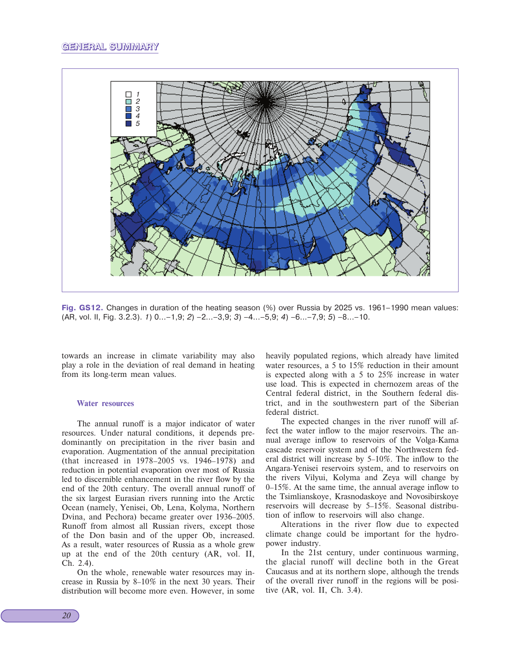

**Fig. GS12.** Changes in duration of the heating season (%) over Russia by 2025 vs. 1961–1990 mean values:  $(AR, vol. II, Fig. 3.2.3)$ . 1)  $0...-1,9$ ; 2)  $-2...-3,9$ ; 3)  $-4...-5,9$ ; 4)  $-6...-7,9$ ; 5)  $-8...-10$ .

towards an increase in climate variability may also play a role in the deviation of real demand in heating from its long-term mean values.

#### **Water resources**

The annual runoff is a major indicator of water resources. Under natural conditions, it depends predominantly on precipitation in the river basin and evaporation. Augmentation of the annual precipitation (that increased in 1978–2005 vs. 1946–1978) and reduction in potential evaporation over most of Russia led to discernible enhancement in the river flow by the end of the 20th century. The overall annual runoff of the six largest Eurasian rivers running into the Arctic Ocean (namely, Yenisei, Ob, Lena, Kolyma, Northern Dvina, and Pechora) became greater over 1936–2005. Runoff from almost all Russian rivers, except those of the Don basin and of the upper Ob, increased. As a result, water resources of Russia as a whole grew up at the end of the 20th century (AR, vol. II, Ch. 2.4).

On the whole, renewable water resources may increase in Russia by 8–10% in the next 30 years. Their distribution will become more even. However, in some

heavily populated regions, which already have limited water resources, a 5 to 15% reduction in their amount is expected along with a 5 to 25% increase in water use load. This is expected in chernozem areas of the Central federal district, in the Southern federal district, and in the southwestern part of the Siberian federal district.

The expected changes in the river runoff will affect the water inflow to the major reservoirs. The annual average inflow to reservoirs of the Volga-Kama cascade reservoir system and of the Northwestern federal district will increase by 5–10%. The inflow to the Angara-Yenisei reservoirs system, and to reservoirs on the rivers Vilyui, Kolyma and Zeya will change by 0–15%. At the same time, the annual average inflow to the Tsimlianskoye, Krasnodaskoye and Novosibirskoye reservoirs will decrease by 5–15%. Seasonal distribution of inflow to reservoirs will also change.

Alterations in the river flow due to expected climate change could be important for the hydropower industry.

In the 21st century, under continuous warming, the glacial runoff will decline both in the Great Caucasus and at its northern slope, although the trends of the overall river runoff in the regions will be positive (AR, vol. II, Ch. 3.4).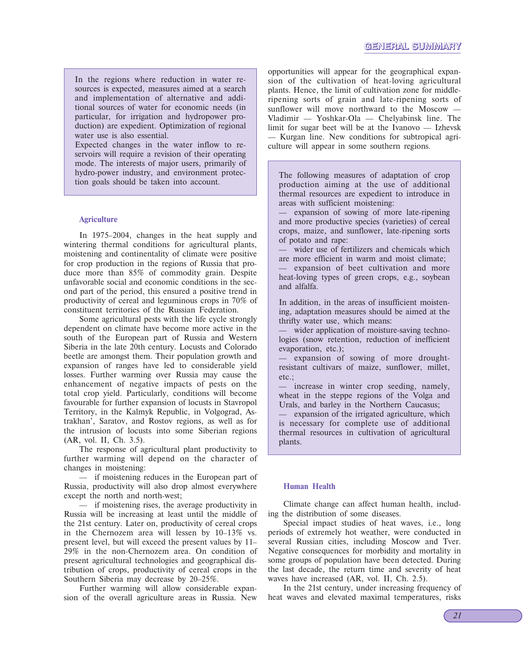In the regions where reduction in water resources is expected, measures aimed at a search and implementation of alternative and additional sources of water for economic needs (in particular, for irrigation and hydropower production) are expedient. Optimization of regional water use is also essential.

Expected changes in the water inflow to reservoirs will require a revision of their operating mode. The interests of major users, primarily of hydro-power industry, and environment protection goals should be taken into account.

#### **Agriculture**

In 1975–2004, changes in the heat supply and wintering thermal conditions for agricultural plants, moistening and continentality of climate were positive for crop production in the regions of Russia that produce more than 85% of commodity grain. Despite unfavorable social and economic conditions in the second part of the period, this ensured a positive trend in productivity of cereal and leguminous crops in 70% of constituent territories of the Russian Federation.

Some agricultural pests with the life cycle strongly dependent on climate have become more active in the south of the European part of Russia and Western Siberia in the late 20th century. Locusts and Colorado beetle are amongst them. Their population growth and expansion of ranges have led to considerable yield losses. Further warming over Russia may cause the enhancement of negative impacts of pests on the total crop yield. Particularly, conditions will become favourable for further expansion of locusts in Stavropol Territory, in the Kalmyk Republic, in Volgograd, Astrakhan', Saratov, and Rostov regions, as well as for the intrusion of locusts into some Siberian regions (AR, vol. II, Ch. 3.5).

The response of agricultural plant productivity to further warming will depend on the character of changes in moistening:

— if moistening reduces in the European part of Russia, productivity will also drop almost everywhere except the north and north-west;

— if moistening rises, the average productivity in Russia will be increasing at least until the middle of the 21st century. Later on, productivity of cereal crops in the Chernozem area will lessen by 10–13% vs. present level, but will exceed the present values by 11– 29% in the non-Chernozem area. On condition of present agricultural technologies and geographical distribution of crops, productivity of cereal crops in the Southern Siberia may decrease by 20–25%.

Further warming will allow considerable expansion of the overall agriculture areas in Russia. New

opportunities will appear for the geographical expansion of the cultivation of heat-loving agricultural plants. Hence, the limit of cultivation zone for middleripening sorts of grain and late-ripening sorts of sunflower will move northward to the Moscow — Vladimir — Yoshkar-Ola — Chelyabinsk line. The limit for sugar beet will be at the Ivanovo — Izhevsk — Kurgan line. New conditions for subtropical agriculture will appear in some southern regions.

The following measures of adaptation of crop production aiming at the use of additional thermal resources are expedient to introduce in areas with sufficient moistening:

— expansion of sowing of more late-ripening and more productive species (varieties) of cereal crops, maize, and sunflower, late-ripening sorts of potato and rape:

wider use of fertilizers and chemicals which are more efficient in warm and moist climate; expansion of beet cultivation and more heat-loving types of green crops, e.g., soybean and alfalfa.

In addition, in the areas of insufficient moistening, adaptation measures should be aimed at the thrifty water use, which means:

wider application of moisture-saving technologies (snow retention, reduction of inefficient evaporation, etc.);

expansion of sowing of more droughtresistant cultivars of maize, sunflower, millet, etc.;

increase in winter crop seeding, namely, wheat in the steppe regions of the Volga and Urals, and barley in the Northern Caucasus;

expansion of the irrigated agriculture, which is necessary for complete use of additional thermal resources in cultivation of agricultural plants.

#### **Human Health**

Climate change can affect human health, including the distribution of some diseases.

Special impact studies of heat waves, i.e., long periods of extremely hot weather, were conducted in several Russian cities, including Moscow and Tver. Negative consequences for morbidity and mortality in some groups of population have been detected. During the last decade, the return time and severity of heat waves have increased (AR, vol. II, Ch. 2.5).

In the 21st century, under increasing frequency of heat waves and elevated maximal temperatures, risks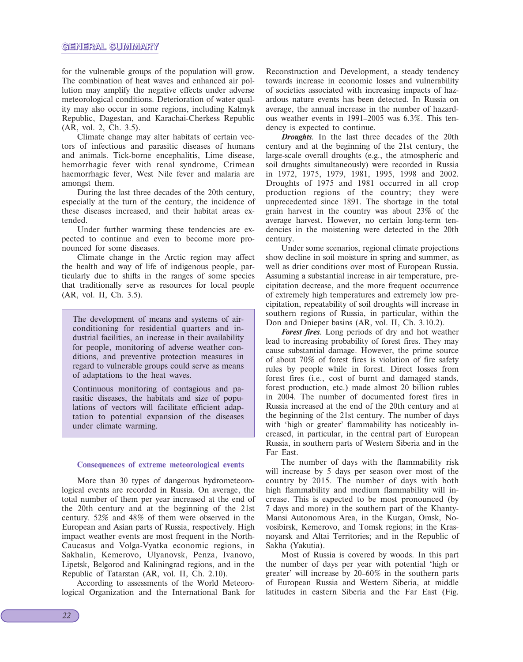for the vulnerable groups of the population will grow. The combination of heat waves and enhanced air pollution may amplify the negative effects under adverse meteorological conditions. Deterioration of water quality may also occur in some regions, including Kalmyk Republic, Dagestan, and Karachai-Cherkess Republic (AR, vol. 2, Ch. 3.5).

Climate change may alter habitats of certain vectors of infectious and parasitic diseases of humans and animals. Tick-borne encephalitis, Lime disease, hemorrhagic fever with renal syndrome, Crimean haemorrhagic fever, West Nile fever and malaria are amongst them.

During the last three decades of the 20th century, especially at the turn of the century, the incidence of these diseases increased, and their habitat areas extended.

Under further warming these tendencies are expected to continue and even to become more pronounced for some diseases.

Climate change in the Arctic region may affect the health and way of life of indigenous people, particularly due to shifts in the ranges of some species that traditionally serve as resources for local people (AR, vol. II, Ch. 3.5).

The development of means and systems of airconditioning for residential quarters and industrial facilities, an increase in their availability for people, monitoring of adverse weather conditions, and preventive protection measures in regard to vulnerable groups could serve as means of adaptations to the heat waves.

Continuous monitoring of contagious and parasitic diseases, the habitats and size of populations of vectors will facilitate efficient adaptation to potential expansion of the diseases under climate warming.

#### **Consequences of extreme meteorological events**

More than 30 types of dangerous hydrometeorological events are recorded in Russia. On average, the total number of them per year increased at the end of the 20th century and at the beginning of the 21st century. 52% and 48% of them were observed in the European and Asian parts of Russia, respectively. High impact weather events are most frequent in the North-Caucasus and Volga-Vyatka economic regions, in Sakhalin, Kemerovo, Ulyanovsk, Penza, Ivanovo, Lipetsk, Belgorod and Kaliningrad regions, and in the Republic of Tatarstan (AR, vol. II, Ch. 2.10).

According to assessments of the World Meteorological Organization and the International Bank for Reconstruction and Development, a steady tendency towards increase in economic losses and vulnerability of societies associated with increasing impacts of hazardous nature events has been detected. In Russia on average, the annual increase in the number of hazardous weather events in 1991–2005 was 6.3%. This tendency is expected to continue.

*Droughts*. In the last three decades of the 20th century and at the beginning of the 21st century, the large-scale overall droughts (e.g., the atmospheric and soil draughts simultaneously) were recorded in Russia in 1972, 1975, 1979, 1981, 1995, 1998 and 2002. Droughts of 1975 and 1981 occurred in all crop production regions of the country; they were unprecedented since 1891. The shortage in the total grain harvest in the country was about 23% of the average harvest. However, no certain long-term tendencies in the moistening were detected in the 20th century.

Under some scenarios, regional climate projections show decline in soil moisture in spring and summer, as well as drier conditions over most of European Russia. Assuming a substantial increase in air temperature, precipitation decrease, and the more frequent occurrence of extremely high temperatures and extremely low precipitation, repeatability of soil droughts will increase in southern regions of Russia, in particular, within the Don and Dnieper basins (AR, vol. II, Ch. 3.10.2).

*Forest fires*. Long periods of dry and hot weather lead to increasing probability of forest fires. They may cause substantial damage. However, the prime source of about 70% of forest fires is violation of fire safety rules by people while in forest. Direct losses from forest fires (i.e., cost of burnt and damaged stands, forest production, etc.) made almost 20 billion rubles in 2004. The number of documented forest fires in Russia increased at the end of the 20th century and at the beginning of the 21st century. The number of days with 'high or greater' flammability has noticeably increased, in particular, in the central part of European Russia, in southern parts of Western Siberia and in the Far East.

The number of days with the flammability risk will increase by 5 days per season over most of the country by 2015. The number of days with both high flammability and medium flammability will increase. This is expected to be most pronounced (by 7 days and more) in the southern part of the Khanty-Mansi Autonomous Area, in the Kurgan, Omsk, Novosibirsk, Kemerovo, and Tomsk regions; in the Krasnoyarsk and Altai Territories; and in the Republic of Sakha (Yakutia).

Most of Russia is covered by woods. In this part the number of days per year with potential 'high or greater' will increase by 20–60% in the southern parts of European Russia and Western Siberia, at middle latitudes in eastern Siberia and the Far East (Fig.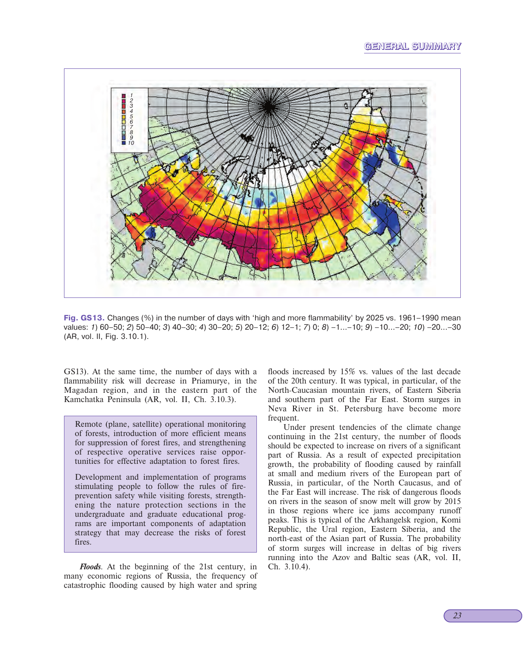# **GENERAL SUMMARY**



**Fig. GS13.** Changes (%) in the number of days with 'high and more flammability' by 2025 vs. 1961–1990 mean values: 1) 60–50; 2) 50–40; 3) 40–30; 4) 30–20; 5) 20–12; 6) 12–1; 7) 0; 8) –1...–10; 9) –10...–20; 10) –20...–30 (AR, vol. II, Fig. 3.10.1).

GS13). At the same time, the number of days with a flammability risk will decrease in Priamurye, in the Magadan region, and in the eastern part of the Kamchatka Peninsula (AR, vol. II, Ch. 3.10.3).

Remote (plane, satellite) operational monitoring of forests, introduction of more efficient means for suppression of forest fires, and strengthening of respective operative services raise opportunities for effective adaptation to forest fires.

Development and implementation of programs stimulating people to follow the rules of fireprevention safety while visiting forests, strengthening the nature protection sections in the undergraduate and graduate educational programs are important components of adaptation strategy that may decrease the risks of forest fires.

*Floods*. At the beginning of the 21st century, in many economic regions of Russia, the frequency of catastrophic flooding caused by high water and spring floods increased by 15% vs. values of the last decade of the 20th century. It was typical, in particular, of the North-Caucasian mountain rivers, of Eastern Siberia and southern part of the Far East. Storm surges in Neva River in St. Petersburg have become more frequent.

Under present tendencies of the climate change continuing in the 21st century, the number of floods should be expected to increase on rivers of a significant part of Russia. As a result of expected precipitation growth, the probability of flooding caused by rainfall at small and medium rivers of the European part of Russia, in particular, of the North Caucasus, and of the Far East will increase. The risk of dangerous floods on rivers in the season of snow melt will grow by 2015 in those regions where ice jams accompany runoff peaks. This is typical of the Arkhangelsk region, Komi Republic, the Ural region, Eastern Siberia, and the north-east of the Asian part of Russia. The probability of storm surges will increase in deltas of big rivers running into the Azov and Baltic seas (AR, vol. II, Ch. 3.10.4).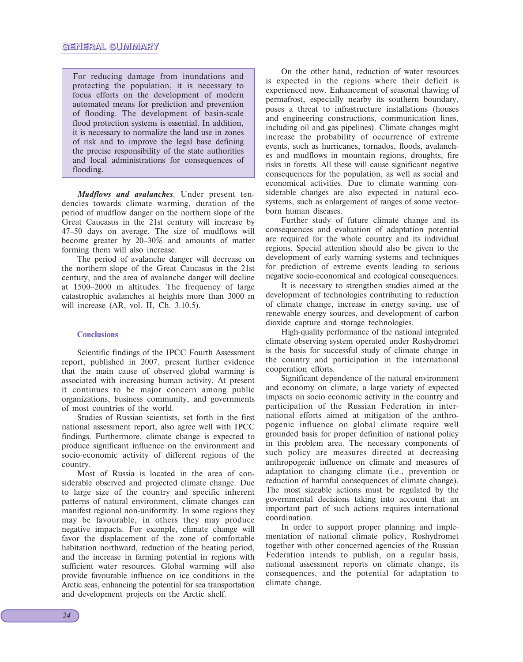For reducing damage from inundations and protecting the population, it is necessary to focus efforts on the development of modern automated means for prediction and prevention of flooding. The development of basin-scale flood protection systems is essential. In addition, it is necessary to normalize the land use in zones of risk and to improve the legal base defining the precise responsibility of the state authorities and local administrations for consequences of flooding.

*Mudflows and avalanches*. Under present tendencies towards climate warming, duration of the period of mudflow danger on the northern slope of the Great Caucasus in the 21st century will increase by 47–50 days on average. The size of mudflows will become greater by 20–30% and amounts of matter forming them will also increase.

The period of avalanche danger will decrease on the northern slope of the Great Caucasus in the 21st century, and the area of avalanche danger will decline at 1500–2000 m altitudes. The frequency of large catastrophic avalanches at heights more than 3000 m will increase (AR, vol. II, Ch. 3.10.5).

#### **Conclusions**

Scientific findings of the IPCC Fourth Assessment report, published in 2007, present further evidence that the main cause of observed global warming is associated with increasing human activity. At present it continues to be major concern among public organizations, business community, and governments of most countries of the world.

Studies of Russian scientists, set forth in the first national assessment report, also agree well with IPCC findings. Furthermore, climate change is expected to produce significant influence on the environment and socio-economic activity of different regions of the country.

Most of Russia is located in the area of considerable observed and projected climate change. Due to large size of the country and specific inherent patterns of natural environment, climate changes can manifest regional non-uniformity. In some regions they may be favourable, in others they may produce negative impacts. For example, climate change will favor the displacement of the zone of comfortable habitation northward, reduction of the heating period, and the increase in farming potential in regions with sufficient water resources. Global warming will also provide favourable influence on ice conditions in the Arctic seas, enhancing the potential for sea transportation and development projects on the Arctic shelf.

On the other hand, reduction of water resources is expected in the regions where their deficit is experienced now. Enhancement of seasonal thawing of permafrost, especially nearby its southern boundary, poses a threat to infrastructure installations (houses and engineering constructions, communication lines, including oil and gas pipelines). Climate changes might increase the probability of occurrence of extreme events, such as hurricanes, tornados, floods, avalanches and mudflows in mountain regions, droughts, fire risks in forests. All these will cause significant negative consequences for the population, as well as social and economical activities. Due to climate warming considerable changes are also expected in natural ecosystems, such as enlargement of ranges of some vectorborn human diseases.

Further study of future climate change and its consequences and evaluation of adaptation potential are required for the whole country and its individual regions. Special attention should also be given to the development of early warning systems and techniques for prediction of extreme events leading to serious negative socio-economical and ecological consequences.

It is necessary to strengthen studies aimed at the development of technologies contributing to reduction of climate change, increase in energy saving, use of renewable energy sources, and development of carbon dioxide capture and storage technologies.

High-quality performance of the national integrated climate observing system operated under Roshydromet is the basis for successful study of climate change in the country and participation in the international cooperation efforts.

Significant dependence of the natural environment and economy on climate, a large variety of expected impacts on socio economic activity in the country and participation of the Russian Federation in international efforts aimed at mitigation of the anthropogenic influence on global climate require well grounded basis for proper definition of national policy in this problem area. The necessary components of such policy are measures directed at decreasing anthropogenic influence on climate and measures of adaptation to changing climate (i.e., prevention or reduction of harmful consequences of climate change). The most sizeable actions must be regulated by the governmental decisions taking into account that an important part of such actions requires international coordination.

In order to support proper planning and implementation of national climate policy, Roshydromet together with other concerned agencies of the Russian Federation intends to publish, on a regular basis, national assessment reports on climate change, its consequences, and the potential for adaptation to climate change.